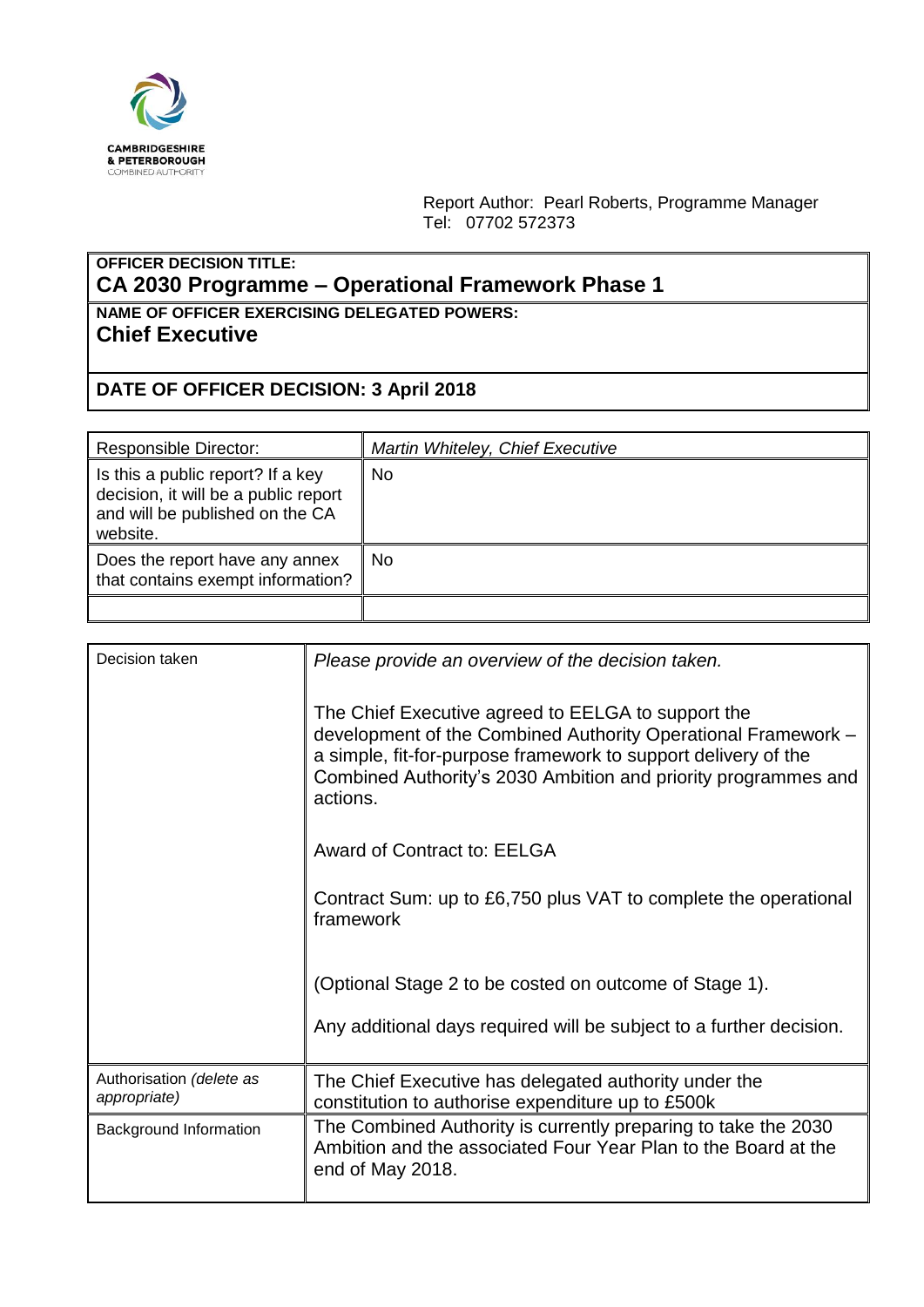

Report Author: Pearl Roberts, Programme Manager Tel: 07702 572373

## **OFFICER DECISION TITLE: CA 2030 Programme – Operational Framework Phase 1**

**NAME OF OFFICER EXERCISING DELEGATED POWERS: Chief Executive**

## **DATE OF OFFICER DECISION: 3 April 2018**

| <b>Responsible Director:</b>                                                                                             | Martin Whiteley, Chief Executive |
|--------------------------------------------------------------------------------------------------------------------------|----------------------------------|
| Is this a public report? If a key<br>decision, it will be a public report<br>and will be published on the CA<br>website. | <b>No</b>                        |
| Does the report have any annex<br>that contains exempt information?                                                      | <b>No</b>                        |
|                                                                                                                          |                                  |

| Decision taken                           | Please provide an overview of the decision taken.                                                                                                                                                                                                                   |
|------------------------------------------|---------------------------------------------------------------------------------------------------------------------------------------------------------------------------------------------------------------------------------------------------------------------|
|                                          | The Chief Executive agreed to EELGA to support the<br>development of the Combined Authority Operational Framework -<br>a simple, fit-for-purpose framework to support delivery of the<br>Combined Authority's 2030 Ambition and priority programmes and<br>actions. |
|                                          | Award of Contract to: EELGA                                                                                                                                                                                                                                         |
|                                          | Contract Sum: up to £6,750 plus VAT to complete the operational<br>framework                                                                                                                                                                                        |
|                                          | (Optional Stage 2 to be costed on outcome of Stage 1).                                                                                                                                                                                                              |
|                                          | Any additional days required will be subject to a further decision.                                                                                                                                                                                                 |
| Authorisation (delete as<br>appropriate) | The Chief Executive has delegated authority under the<br>constitution to authorise expenditure up to £500k                                                                                                                                                          |
| Background Information                   | The Combined Authority is currently preparing to take the 2030<br>Ambition and the associated Four Year Plan to the Board at the<br>end of May 2018.                                                                                                                |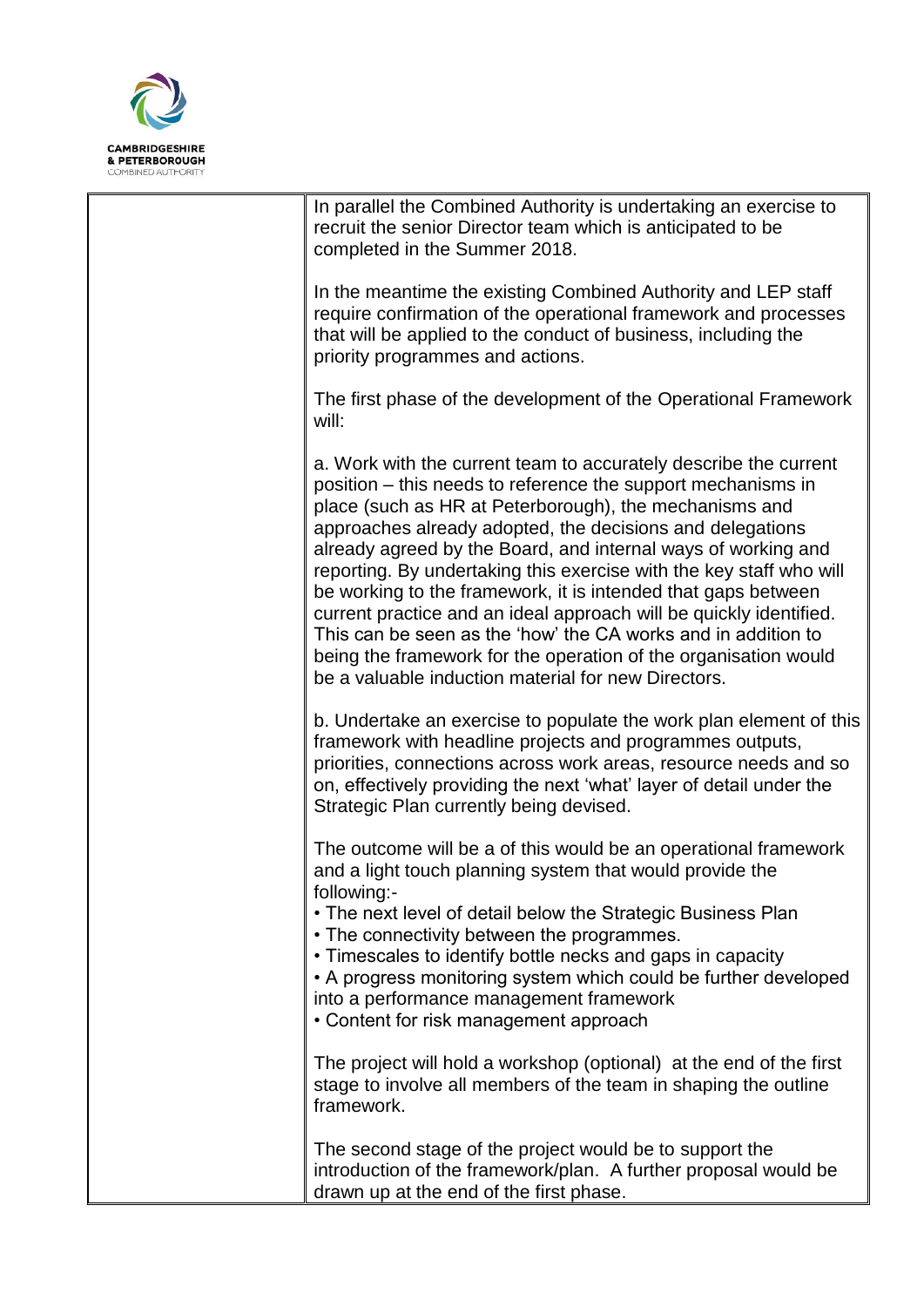

| In parallel the Combined Authority is undertaking an exercise to<br>recruit the senior Director team which is anticipated to be<br>completed in the Summer 2018.                                                                                                                                                                                                                                                                                                                                                                                                                                                                                                                                                                  |
|-----------------------------------------------------------------------------------------------------------------------------------------------------------------------------------------------------------------------------------------------------------------------------------------------------------------------------------------------------------------------------------------------------------------------------------------------------------------------------------------------------------------------------------------------------------------------------------------------------------------------------------------------------------------------------------------------------------------------------------|
| In the meantime the existing Combined Authority and LEP staff<br>require confirmation of the operational framework and processes<br>that will be applied to the conduct of business, including the<br>priority programmes and actions.                                                                                                                                                                                                                                                                                                                                                                                                                                                                                            |
| The first phase of the development of the Operational Framework<br>will:                                                                                                                                                                                                                                                                                                                                                                                                                                                                                                                                                                                                                                                          |
| a. Work with the current team to accurately describe the current<br>position – this needs to reference the support mechanisms in<br>place (such as HR at Peterborough), the mechanisms and<br>approaches already adopted, the decisions and delegations<br>already agreed by the Board, and internal ways of working and<br>reporting. By undertaking this exercise with the key staff who will<br>be working to the framework, it is intended that gaps between<br>current practice and an ideal approach will be quickly identified.<br>This can be seen as the 'how' the CA works and in addition to<br>being the framework for the operation of the organisation would<br>be a valuable induction material for new Directors. |
| b. Undertake an exercise to populate the work plan element of this<br>framework with headline projects and programmes outputs,<br>priorities, connections across work areas, resource needs and so<br>on, effectively providing the next 'what' layer of detail under the<br>Strategic Plan currently being devised.                                                                                                                                                                                                                                                                                                                                                                                                              |
| The outcome will be a of this would be an operational framework<br>and a light touch planning system that would provide the<br>following:-                                                                                                                                                                                                                                                                                                                                                                                                                                                                                                                                                                                        |
| • The next level of detail below the Strategic Business Plan<br>• The connectivity between the programmes.<br>• Timescales to identify bottle necks and gaps in capacity<br>• A progress monitoring system which could be further developed<br>into a performance management framework<br>• Content for risk management approach                                                                                                                                                                                                                                                                                                                                                                                                  |
| The project will hold a workshop (optional) at the end of the first<br>stage to involve all members of the team in shaping the outline<br>framework.                                                                                                                                                                                                                                                                                                                                                                                                                                                                                                                                                                              |
| The second stage of the project would be to support the<br>introduction of the framework/plan. A further proposal would be<br>drawn up at the end of the first phase.                                                                                                                                                                                                                                                                                                                                                                                                                                                                                                                                                             |